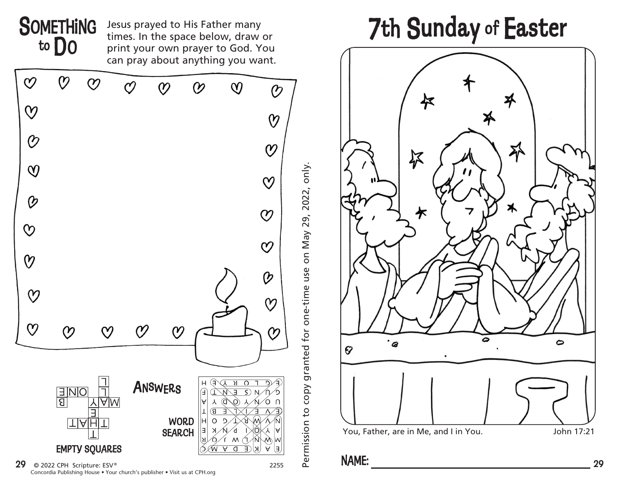



**29**  $\odot$  2022 CPH Scripture: ESV<sup>®</sup> Concordia Publishing House • Your church's publisher • Visit us at CPH.org